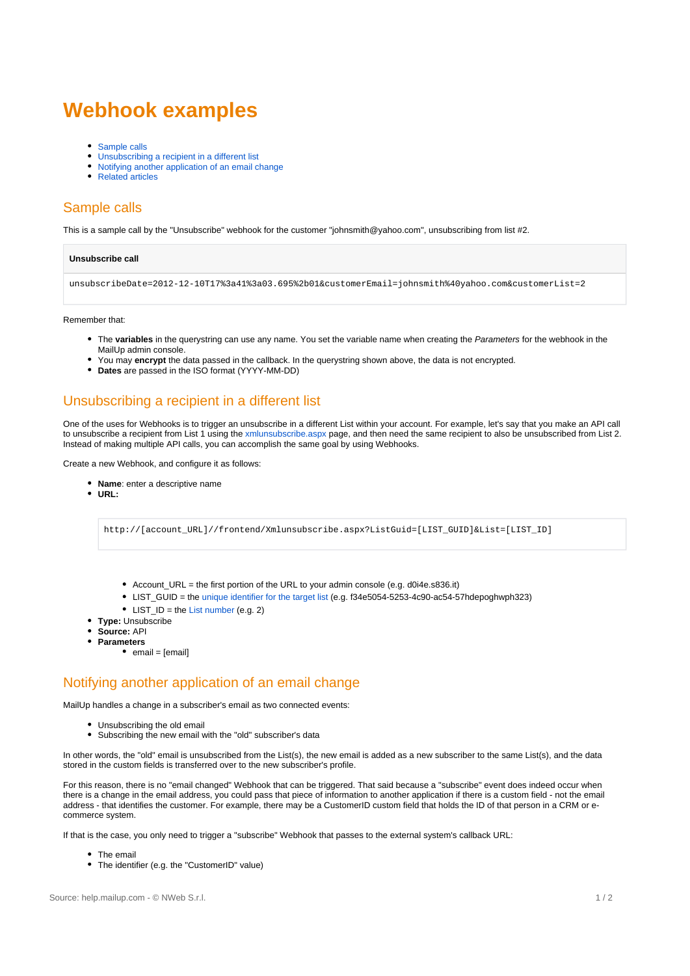# **Webhook examples**

- [Sample calls](#page-0-0)
- [Unsubscribing a recipient in a different list](#page-0-1)
- [Notifying another application of an email change](#page-0-2)
- [Related articles](#page-1-0)

# <span id="page-0-0"></span>Sample calls

This is a sample call by the "Unsubscribe" webhook for the customer "johnsmith@yahoo.com", unsubscribing from list #2.

#### **Unsubscribe call**

unsubscribeDate=2012-12-10T17%3a41%3a03.695%2b01&customerEmail=johnsmith%40yahoo.com&customerList=2

#### Remember that:

- The **variables** in the querystring can use any name. You set the variable name when creating the Parameters for the webhook in the MailUp admin console.
- You may **encrypt** the data passed in the callback. In the querystring shown above, the data is not encrypted.
- **Dates** are passed in the ISO format (YYYY-MM-DD)

### <span id="page-0-1"></span>Unsubscribing a recipient in a different list

One of the uses for Webhooks is to trigger an unsubscribe in a different List within your account. For example, let's say that you make an API call to unsubscribe a recipient from List 1 using the [xmlunsubscribe.aspx](https://help.mailup.com/display/mailupapi/HTTP+Get+or+Post+API) page, and then need the same recipient to also be unsubscribed from List 2. Instead of making multiple API calls, you can accomplish the same goal by using Webhooks.

Create a new Webhook, and configure it as follows:

- **Name**: enter a descriptive name
- **URL:**

http://[account\_URL]//frontend/Xmlunsubscribe.aspx?ListGuid=[LIST\_GUID]&List=[LIST\_ID]

- Account\_URL = the first portion of the URL to your admin console (e.g. d0i4e.s836.it)
- LIST\_GUID = the [unique identifier for the target list](https://help.mailup.com/display/MUG/Codes+Table) (e.g. f34e5054-5253-4c90-ac54-57hdepoghwph323)
- $\bullet$  LIST ID = the [List number](https://help.mailup.com/display/MUG/Codes+Table) (e.g. 2)
- **Type:** Unsubscribe
- **Source:** API
- **Parameters**
	- $\bullet$  email = [email]

### <span id="page-0-2"></span>Notifying another application of an email change

MailUp handles a change in a subscriber's email as two connected events:

- Unsubscribing the old email
- $\bullet$ Subscribing the new email with the "old" subscriber's data

In other words, the "old" email is unsubscribed from the List(s), the new email is added as a new subscriber to the same List(s), and the data stored in the custom fields is transferred over to the new subscriber's profile.

For this reason, there is no "email changed" Webhook that can be triggered. That said because a "subscribe" event does indeed occur when there is a change in the email address, you could pass that piece of information to another application if there is a custom field - not the email address - that identifies the customer. For example, there may be a CustomerID custom field that holds the ID of that person in a CRM or ecommerce system.

If that is the case, you only need to trigger a "subscribe" Webhook that passes to the external system's callback URL:

- The email
- The identifier (e.g. the "CustomerID" value) $\bullet$